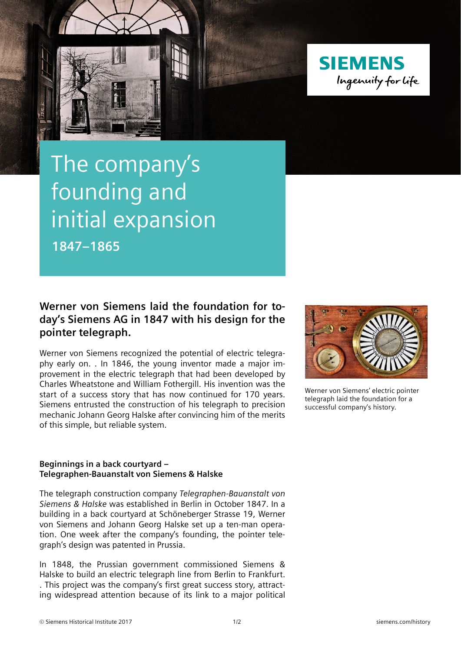



## The company's founding and initial expansion **1847–1865**

## **Werner von Siemens laid the foundation for today's Siemens AG in 1847 with his design for the pointer telegraph.**

Werner von Siemens recognized the potential of electric telegraphy early on. . In 1846, the young inventor made a major improvement in the electric telegraph that had been developed by Charles Wheatstone and William Fothergill. His invention was the start of a success story that has now continued for 170 years. Siemens entrusted the construction of his telegraph to precision mechanic Johann Georg Halske after convincing him of the merits of this simple, but reliable system.



Werner von Siemens' electric pointer telegraph laid the foundation for a successful company's history.

## **Beginnings in a back courtyard – Telegraphen-Bauanstalt von Siemens & Halske**

The telegraph construction company *Telegraphen-Bauanstalt von Siemens & Halske* was established in Berlin in October 1847. In a building in a back courtyard at Schöneberger Strasse 19, Werner von Siemens and Johann Georg Halske set up a ten-man operation. One week after the company's founding, the pointer telegraph's design was patented in Prussia.

In 1848, the Prussian government commissioned Siemens & Halske to build an electric telegraph line from Berlin to Frankfurt. . This project was the company's first great success story, attracting widespread attention because of its link to a major political